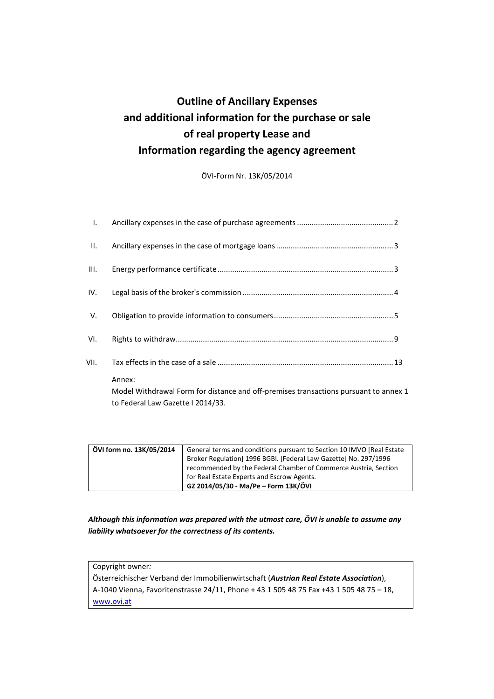# **Outline of Ancillary Expenses and additional information for the purchase or sale of real property Lease and Information regarding the agency agreement**

ÖVI-Form Nr. 13K/05/2014

| II.<br>III.<br>IV.<br>V.<br>VI.<br>VII.<br>Annex: | L. |                                                                                                                           |
|---------------------------------------------------|----|---------------------------------------------------------------------------------------------------------------------------|
|                                                   |    |                                                                                                                           |
|                                                   |    |                                                                                                                           |
|                                                   |    |                                                                                                                           |
|                                                   |    |                                                                                                                           |
|                                                   |    |                                                                                                                           |
|                                                   |    |                                                                                                                           |
|                                                   |    |                                                                                                                           |
|                                                   |    | Model Withdrawal Form for distance and off-premises transactions pursuant to annex 1<br>to Federal Law Gazette I 2014/33. |

| ÖVI form no. 13K/05/2014 | General terms and conditions pursuant to Section 10 IMVO [Real Estate |
|--------------------------|-----------------------------------------------------------------------|
|                          | Broker Regulation] 1996 BGBI. [Federal Law Gazette] No. 297/1996      |
|                          | recommended by the Federal Chamber of Commerce Austria, Section       |
|                          | for Real Estate Experts and Escrow Agents.                            |
|                          | GZ 2014/05/30 - Ma/Pe - Form 13K/ÖVI                                  |

*Although this information was prepared with the utmost care, ÖVI is unable to assume any liability whatsoever for the correctness of its contents.* 

Copyright owner*:*  Österreichischer Verband der Immobilienwirtschaft (*Austrian Real Estate Association*), A-1040 Vienna, Favoritenstrasse 24/11, Phone + 43 1 505 48 75 Fax +43 1 505 48 75 – 18, www.ovi.at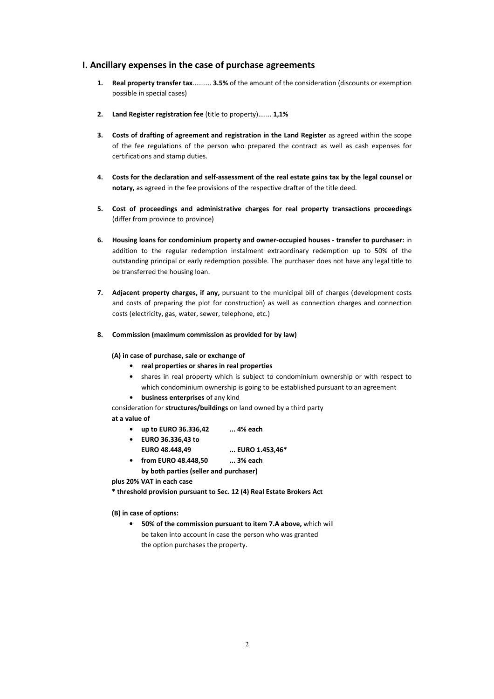## **I. Ancillary expenses in the case of purchase agreements**

- **1. Real property transfer tax**.......... **3.5%** of the amount of the consideration (discounts or exemption possible in special cases)
- **2. Land Register registration fee** (title to property)....... **1,1%**
- **3. Costs of drafting of agreement and registration in the Land Register** as agreed within the scope of the fee regulations of the person who prepared the contract as well as cash expenses for certifications and stamp duties.
- **4. Costs for the declaration and self-assessment of the real estate gains tax by the legal counsel or notary,** as agreed in the fee provisions of the respective drafter of the title deed.
- **5. Cost of proceedings and administrative charges for real property transactions proceedings** (differ from province to province)
- **6. Housing loans for condominium property and owner-occupied houses transfer to purchaser:** in addition to the regular redemption instalment extraordinary redemption up to 50% of the outstanding principal or early redemption possible. The purchaser does not have any legal title to be transferred the housing loan.
- **7. Adjacent property charges, if any,** pursuant to the municipal bill of charges (development costs and costs of preparing the plot for construction) as well as connection charges and connection costs (electricity, gas, water, sewer, telephone, etc.)
- **8. Commission (maximum commission as provided for by law)**

#### **(A) in case of purchase, sale or exchange of**

- **real properties or shares in real properties**
- shares in real property which is subject to condominium ownership or with respect to which condominium ownership is going to be established pursuant to an agreement
- **business enterprises** of any kind

consideration for **structures/buildings** on land owned by a third party **at a value of** 

- **up to EURO 36.336,42 ... 4% each**
- **EURO 36.336,43 to EURO 48.448,49 ... EURO 1.453,46\***
- **from EURO 48.448,50 ... 3% each**

**by both parties (seller and purchaser)** 

**plus 20% VAT in each case** 

**\* threshold provision pursuant to Sec. 12 (4) Real Estate Brokers Act** 

**(B) in case of options:** 

• **50% of the commission pursuant to item 7.A above,** which will be taken into account in case the person who was granted the option purchases the property.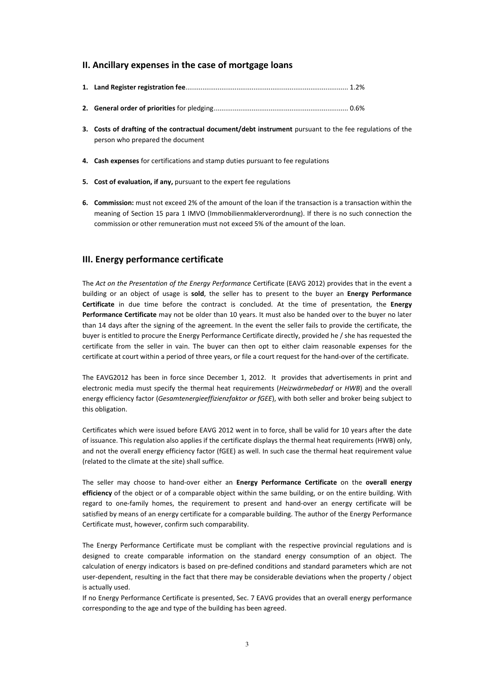## **II. Ancillary expenses in the case of mortgage loans**

- **3. Costs of drafting of the contractual document/debt instrument** pursuant to the fee regulations of the person who prepared the document
- **4. Cash expenses** for certifications and stamp duties pursuant to fee regulations
- **5. Cost of evaluation, if any,** pursuant to the expert fee regulations
- **6. Commission:** must not exceed 2% of the amount of the loan if the transaction is a transaction within the meaning of Section 15 para 1 IMVO (Immobilienmaklerverordnung). If there is no such connection the commission or other remuneration must not exceed 5% of the amount of the loan.

## **III. Energy performance certificate**

The *Act on the Presentation of the Energy Performance* Certificate (EAVG 2012) provides that in the event a building or an object of usage is **sold**, the seller has to present to the buyer an **Energy Performance Certificate** in due time before the contract is concluded. At the time of presentation, the **Energy Performance Certificate** may not be older than 10 years. It must also be handed over to the buyer no later than 14 days after the signing of the agreement. In the event the seller fails to provide the certificate, the buyer is entitled to procure the Energy Performance Certificate directly, provided he / she has requested the certificate from the seller in vain. The buyer can then opt to either claim reasonable expenses for the certificate at court within a period of three years, or file a court request for the hand-over of the certificate.

The EAVG2012 has been in force since December 1, 2012. It provides that advertisements in print and electronic media must specify the thermal heat requirements (*Heizwärmebedarf* or *HWB*) and the overall energy efficiency factor (*Gesamtenergieeffizienzfaktor or fGEE*), with both seller and broker being subject to this obligation.

Certificates which were issued before EAVG 2012 went in to force, shall be valid for 10 years after the date of issuance. This regulation also applies if the certificate displays the thermal heat requirements (HWB) only, and not the overall energy efficiency factor (fGEE) as well. In such case the thermal heat requirement value (related to the climate at the site) shall suffice.

The seller may choose to hand-over either an **Energy Performance Certificate** on the **overall energy efficiency** of the object or of a comparable object within the same building, or on the entire building. With regard to one-family homes, the requirement to present and hand-over an energy certificate will be satisfied by means of an energy certificate for a comparable building. The author of the Energy Performance Certificate must, however, confirm such comparability.

The Energy Performance Certificate must be compliant with the respective provincial regulations and is designed to create comparable information on the standard energy consumption of an object. The calculation of energy indicators is based on pre-defined conditions and standard parameters which are not user-dependent, resulting in the fact that there may be considerable deviations when the property / object is actually used.

If no Energy Performance Certificate is presented, Sec. 7 EAVG provides that an overall energy performance corresponding to the age and type of the building has been agreed.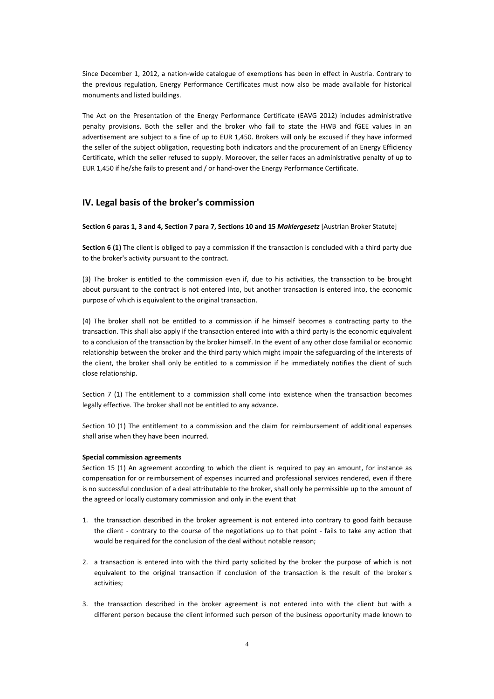Since December 1, 2012, a nation-wide catalogue of exemptions has been in effect in Austria. Contrary to the previous regulation, Energy Performance Certificates must now also be made available for historical monuments and listed buildings.

The Act on the Presentation of the Energy Performance Certificate (EAVG 2012) includes administrative penalty provisions. Both the seller and the broker who fail to state the HWB and fGEE values in an advertisement are subject to a fine of up to EUR 1,450. Brokers will only be excused if they have informed the seller of the subject obligation, requesting both indicators and the procurement of an Energy Efficiency Certificate, which the seller refused to supply. Moreover, the seller faces an administrative penalty of up to EUR 1,450 if he/she fails to present and / or hand-over the Energy Performance Certificate.

## **IV. Legal basis of the broker's commission**

#### **Section 6 paras 1, 3 and 4, Section 7 para 7, Sections 10 and 15** *Maklergesetz* [Austrian Broker Statute]

**Section 6 (1)** The client is obliged to pay a commission if the transaction is concluded with a third party due to the broker's activity pursuant to the contract.

(3) The broker is entitled to the commission even if, due to his activities, the transaction to be brought about pursuant to the contract is not entered into, but another transaction is entered into, the economic purpose of which is equivalent to the original transaction.

(4) The broker shall not be entitled to a commission if he himself becomes a contracting party to the transaction. This shall also apply if the transaction entered into with a third party is the economic equivalent to a conclusion of the transaction by the broker himself. In the event of any other close familial or economic relationship between the broker and the third party which might impair the safeguarding of the interests of the client, the broker shall only be entitled to a commission if he immediately notifies the client of such close relationship.

Section 7 (1) The entitlement to a commission shall come into existence when the transaction becomes legally effective. The broker shall not be entitled to any advance.

Section 10 (1) The entitlement to a commission and the claim for reimbursement of additional expenses shall arise when they have been incurred.

#### **Special commission agreements**

Section 15 (1) An agreement according to which the client is required to pay an amount, for instance as compensation for or reimbursement of expenses incurred and professional services rendered, even if there is no successful conclusion of a deal attributable to the broker, shall only be permissible up to the amount of the agreed or locally customary commission and only in the event that

- 1. the transaction described in the broker agreement is not entered into contrary to good faith because the client - contrary to the course of the negotiations up to that point - fails to take any action that would be required for the conclusion of the deal without notable reason;
- 2. a transaction is entered into with the third party solicited by the broker the purpose of which is not equivalent to the original transaction if conclusion of the transaction is the result of the broker's activities;
- 3. the transaction described in the broker agreement is not entered into with the client but with a different person because the client informed such person of the business opportunity made known to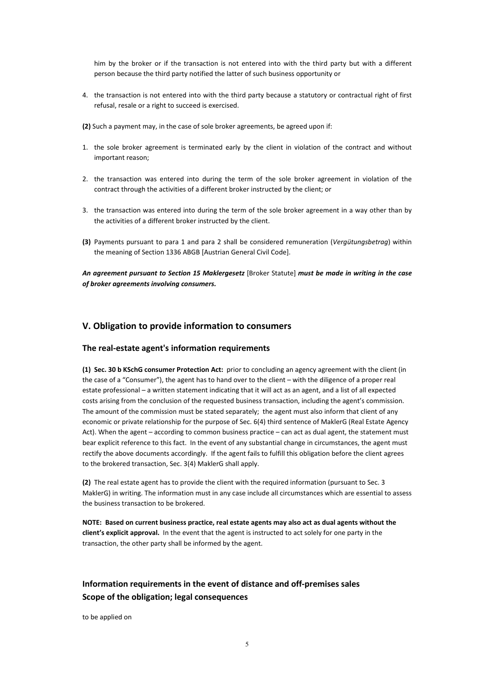him by the broker or if the transaction is not entered into with the third party but with a different person because the third party notified the latter of such business opportunity or

- 4. the transaction is not entered into with the third party because a statutory or contractual right of first refusal, resale or a right to succeed is exercised.
- **(2)** Such a payment may, in the case of sole broker agreements, be agreed upon if:
- 1. the sole broker agreement is terminated early by the client in violation of the contract and without important reason;
- 2. the transaction was entered into during the term of the sole broker agreement in violation of the contract through the activities of a different broker instructed by the client; or
- 3. the transaction was entered into during the term of the sole broker agreement in a way other than by the activities of a different broker instructed by the client.
- **(3)** Payments pursuant to para 1 and para 2 shall be considered remuneration (*Vergütungsbetrag*) within the meaning of Section 1336 ABGB [Austrian General Civil Code].

*An agreement pursuant to Section 15 Maklergesetz* [Broker Statute] *must be made in writing in the case of broker agreements involving consumers.* 

## **V. Obligation to provide information to consumers**

### **The real-estate agent's information requirements**

**(1) Sec. 30 b KSchG consumer Protection Act:** prior to concluding an agency agreement with the client (in the case of a "Consumer"), the agent has to hand over to the client – with the diligence of a proper real estate professional – a written statement indicating that it will act as an agent, and a list of all expected costs arising from the conclusion of the requested business transaction, including the agent's commission. The amount of the commission must be stated separately; the agent must also inform that client of any economic or private relationship for the purpose of Sec. 6(4) third sentence of MaklerG (Real Estate Agency Act). When the agent – according to common business practice – can act as dual agent, the statement must bear explicit reference to this fact. In the event of any substantial change in circumstances, the agent must rectify the above documents accordingly. If the agent fails to fulfill this obligation before the client agrees to the brokered transaction, Sec. 3(4) MaklerG shall apply.

**(2)** The real estate agent has to provide the client with the required information (pursuant to Sec. 3 MaklerG) in writing. The information must in any case include all circumstances which are essential to assess the business transaction to be brokered.

**NOTE: Based on current business practice, real estate agents may also act as dual agents without the client's explicit approval.** In the event that the agent is instructed to act solely for one party in the transaction, the other party shall be informed by the agent.

## **Information requirements in the event of distance and off-premises sales Scope of the obligation; legal consequences**

to be applied on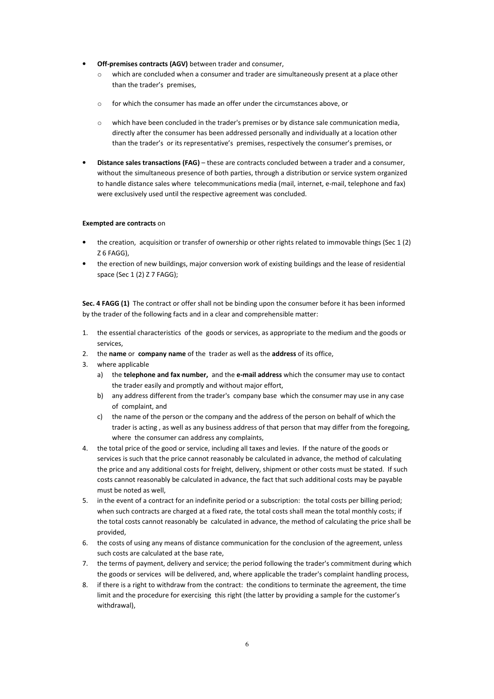- **Off-premises contracts (AGV)** between trader and consumer,
	- o which are concluded when a consumer and trader are simultaneously present at a place other than the trader's premises,
	- o for which the consumer has made an offer under the circumstances above, or
	- o which have been concluded in the trader's premises or by distance sale communication media, directly after the consumer has been addressed personally and individually at a location other than the trader's or its representative's premises, respectively the consumer's premises, or
- **Distance sales transactions (FAG)**  these are contracts concluded between a trader and a consumer, without the simultaneous presence of both parties, through a distribution or service system organized to handle distance sales where telecommunications media (mail, internet, e-mail, telephone and fax) were exclusively used until the respective agreement was concluded.

#### **Exempted are contracts** on

- the creation, acquisition or transfer of ownership or other rights related to immovable things (Sec 1 (2) Z 6 FAGG),
- the erection of new buildings, major conversion work of existing buildings and the lease of residential space (Sec 1 (2) Z 7 FAGG);

**Sec. 4 FAGG (1)** The contract or offer shall not be binding upon the consumer before it has been informed by the trader of the following facts and in a clear and comprehensible matter:

- 1. the essential characteristics of the goods or services, as appropriate to the medium and the goods or services,
- 2. the **name** or **company name** of the trader as well as the **address** of its office,
- 3. where applicable
	- a) the **telephone and fax number,** and the **e-mail address** which the consumer may use to contact the trader easily and promptly and without major effort,
	- b) any address different from the trader's company base which the consumer may use in any case of complaint, and
	- c) the name of the person or the company and the address of the person on behalf of which the trader is acting , as well as any business address of that person that may differ from the foregoing, where the consumer can address any complaints,
- 4. the total price of the good or service, including all taxes and levies. If the nature of the goods or services is such that the price cannot reasonably be calculated in advance, the method of calculating the price and any additional costs for freight, delivery, shipment or other costs must be stated. If such costs cannot reasonably be calculated in advance, the fact that such additional costs may be payable must be noted as well,
- 5. in the event of a contract for an indefinite period or a subscription: the total costs per billing period; when such contracts are charged at a fixed rate, the total costs shall mean the total monthly costs; if the total costs cannot reasonably be calculated in advance, the method of calculating the price shall be provided,
- 6. the costs of using any means of distance communication for the conclusion of the agreement, unless such costs are calculated at the base rate,
- 7. the terms of payment, delivery and service; the period following the trader's commitment during which the goods or services will be delivered, and, where applicable the trader's complaint handling process,
- 8. if there is a right to withdraw from the contract: the conditions to terminate the agreement, the time limit and the procedure for exercising this right (the latter by providing a sample for the customer's withdrawal),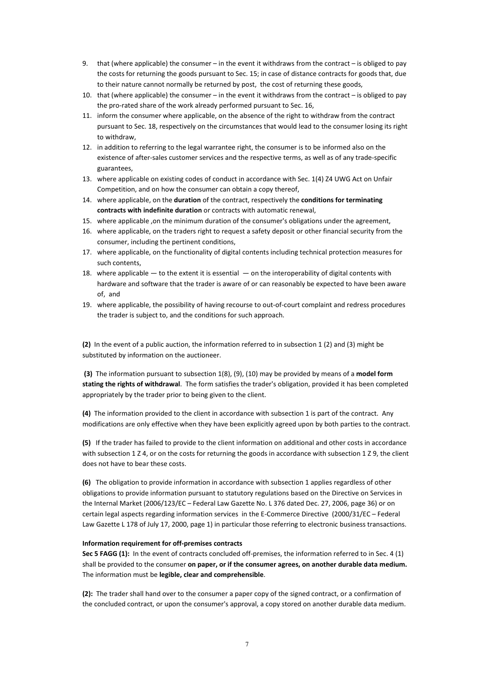- 9. that (where applicable) the consumer in the event it withdraws from the contract is obliged to pay the costs for returning the goods pursuant to Sec. 15; in case of distance contracts for goods that, due to their nature cannot normally be returned by post, the cost of returning these goods,
- 10. that (where applicable) the consumer in the event it withdraws from the contract is obliged to pay the pro-rated share of the work already performed pursuant to Sec. 16,
- 11. inform the consumer where applicable, on the absence of the right to withdraw from the contract pursuant to Sec. 18, respectively on the circumstances that would lead to the consumer losing its right to withdraw,
- 12. in addition to referring to the legal warrantee right, the consumer is to be informed also on the existence of after-sales customer services and the respective terms, as well as of any trade-specific guarantees,
- 13. where applicable on existing codes of conduct in accordance with Sec. 1(4) Z4 UWG Act on Unfair Competition, and on how the consumer can obtain a copy thereof,
- 14. where applicable, on the **duration** of the contract, respectively the **conditions for terminating contracts with indefinite duration** or contracts with automatic renewal,
- 15. where applicable ,on the minimum duration of the consumer's obligations under the agreement,
- 16. where applicable, on the traders right to request a safety deposit or other financial security from the consumer, including the pertinent conditions,
- 17. where applicable, on the functionality of digital contents including technical protection measures for such contents,
- 18. where applicable to the extent it is essential on the interoperability of digital contents with hardware and software that the trader is aware of or can reasonably be expected to have been aware of, and
- 19. where applicable, the possibility of having recourse to out-of-court complaint and redress procedures the trader is subject to, and the conditions for such approach.

**(2)** In the event of a public auction, the information referred to in subsection 1 (2) and (3) might be substituted by information on the auctioneer.

 **(3)** The information pursuant to subsection 1(8), (9), (10) may be provided by means of a **model form stating the rights of withdrawal**. The form satisfies the trader's obligation, provided it has been completed appropriately by the trader prior to being given to the client.

**(4)** The information provided to the client in accordance with subsection 1 is part of the contract. Any modifications are only effective when they have been explicitly agreed upon by both parties to the contract.

**(5)** If the trader has failed to provide to the client information on additional and other costs in accordance with subsection 1 Z 4, or on the costs for returning the goods in accordance with subsection 1 Z 9, the client does not have to bear these costs.

**(6)** The obligation to provide information in accordance with subsection 1 applies regardless of other obligations to provide information pursuant to statutory regulations based on the Directive on Services in the Internal Market (2006/123/EC – Federal Law Gazette No. L 376 dated Dec. 27, 2006, page 36) or on certain legal aspects regarding information services in the E-Commerce Directive (2000/31/EC – Federal Law Gazette L 178 of July 17, 2000, page 1) in particular those referring to electronic business transactions.

#### **Information requirement for off-premises contracts**

**Sec 5 FAGG (1):** In the event of contracts concluded off-premises, the information referred to in Sec. 4 (1) shall be provided to the consumer **on paper, or if the consumer agrees, on another durable data medium.**  The information must be **legible, clear and comprehensible**.

**(2):** The trader shall hand over to the consumer a paper copy of the signed contract, or a confirmation of the concluded contract, or upon the consumer's approval, a copy stored on another durable data medium.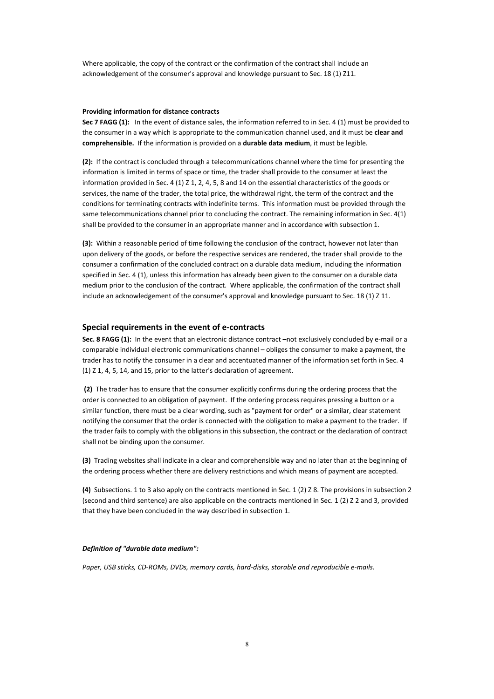Where applicable, the copy of the contract or the confirmation of the contract shall include an acknowledgement of the consumer's approval and knowledge pursuant to Sec. 18 (1) Z11.

#### **Providing information for distance contracts**

**Sec 7 FAGG (1):** In the event of distance sales, the information referred to in Sec. 4 (1) must be provided to the consumer in a way which is appropriate to the communication channel used, and it must be **clear and comprehensible.** If the information is provided on a **durable data medium**, it must be legible.

**(2):** If the contract is concluded through a telecommunications channel where the time for presenting the information is limited in terms of space or time, the trader shall provide to the consumer at least the information provided in Sec. 4 (1) Z 1, 2, 4, 5, 8 and 14 on the essential characteristics of the goods or services, the name of the trader, the total price, the withdrawal right, the term of the contract and the conditions for terminating contracts with indefinite terms. This information must be provided through the same telecommunications channel prior to concluding the contract. The remaining information in Sec. 4(1) shall be provided to the consumer in an appropriate manner and in accordance with subsection 1.

**(3):** Within a reasonable period of time following the conclusion of the contract, however not later than upon delivery of the goods, or before the respective services are rendered, the trader shall provide to the consumer a confirmation of the concluded contract on a durable data medium, including the information specified in Sec. 4 (1), unless this information has already been given to the consumer on a durable data medium prior to the conclusion of the contract. Where applicable, the confirmation of the contract shall include an acknowledgement of the consumer's approval and knowledge pursuant to Sec. 18 (1) Z 11.

#### **Special requirements in the event of e-contracts**

**Sec. 8 FAGG (1):** In the event that an electronic distance contract –not exclusively concluded by e-mail or a comparable individual electronic communications channel – obliges the consumer to make a payment, the trader has to notify the consumer in a clear and accentuated manner of the information set forth in Sec. 4 (1) Z 1, 4, 5, 14, and 15, prior to the latter's declaration of agreement.

 **(2)** The trader has to ensure that the consumer explicitly confirms during the ordering process that the order is connected to an obligation of payment. If the ordering process requires pressing a button or a similar function, there must be a clear wording, such as "payment for order" or a similar, clear statement notifying the consumer that the order is connected with the obligation to make a payment to the trader. If the trader fails to comply with the obligations in this subsection, the contract or the declaration of contract shall not be binding upon the consumer.

**(3)** Trading websites shall indicate in a clear and comprehensible way and no later than at the beginning of the ordering process whether there are delivery restrictions and which means of payment are accepted.

**(4)** Subsections. 1 to 3 also apply on the contracts mentioned in Sec. 1 (2) Z 8. The provisions in subsection 2 (second and third sentence) are also applicable on the contracts mentioned in Sec. 1 (2) Z 2 and 3, provided that they have been concluded in the way described in subsection 1.

#### *Definition of "durable data medium":*

*Paper, USB sticks, CD-ROMs, DVDs, memory cards, hard-disks, storable and reproducible e-mails.*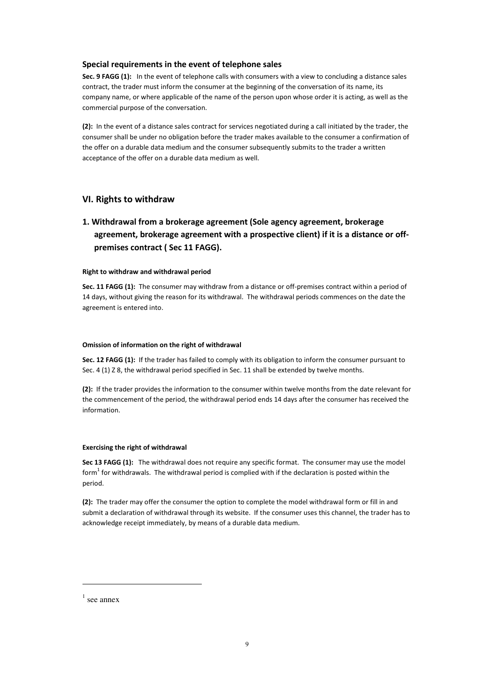### **Special requirements in the event of telephone sales**

**Sec. 9 FAGG (1):** In the event of telephone calls with consumers with a view to concluding a distance sales contract, the trader must inform the consumer at the beginning of the conversation of its name, its company name, or where applicable of the name of the person upon whose order it is acting, as well as the commercial purpose of the conversation.

**(2):** In the event of a distance sales contract for services negotiated during a call initiated by the trader, the consumer shall be under no obligation before the trader makes available to the consumer a confirmation of the offer on a durable data medium and the consumer subsequently submits to the trader a written acceptance of the offer on a durable data medium as well.

## **VI. Rights to withdraw**

## **1. Withdrawal from a brokerage agreement (Sole agency agreement, brokerage agreement, brokerage agreement with a prospective client) if it is a distance or offpremises contract ( Sec 11 FAGG).**

#### **Right to withdraw and withdrawal period**

**Sec. 11 FAGG (1):** The consumer may withdraw from a distance or off-premises contract within a period of 14 days, without giving the reason for its withdrawal. The withdrawal periods commences on the date the agreement is entered into.

#### **Omission of information on the right of withdrawal**

**Sec. 12 FAGG (1):** If the trader has failed to comply with its obligation to inform the consumer pursuant to Sec. 4 (1) Z 8, the withdrawal period specified in Sec. 11 shall be extended by twelve months.

**(2):** If the trader provides the information to the consumer within twelve months from the date relevant for the commencement of the period, the withdrawal period ends 14 days after the consumer has received the information.

#### **Exercising the right of withdrawal**

**Sec 13 FAGG (1):** The withdrawal does not require any specific format. The consumer may use the model form<sup>1</sup> for withdrawals. The withdrawal period is complied with if the declaration is posted within the period.

**(2):** The trader may offer the consumer the option to complete the model withdrawal form or fill in and submit a declaration of withdrawal through its website. If the consumer uses this channel, the trader has to acknowledge receipt immediately, by means of a durable data medium.

l.

 $<sup>1</sup>$  see annex</sup>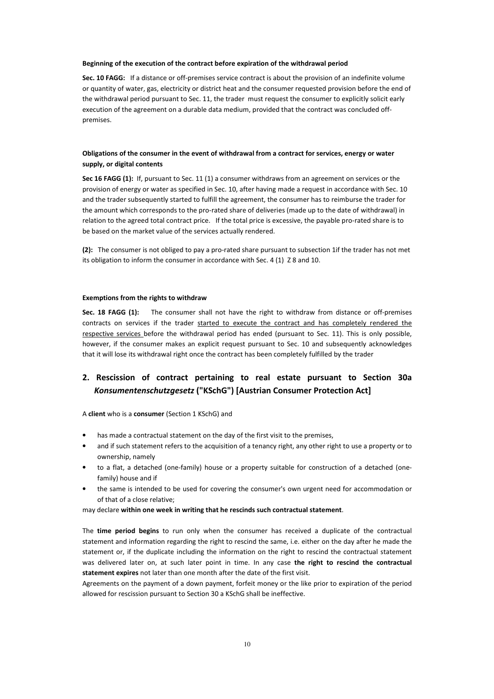#### **Beginning of the execution of the contract before expiration of the withdrawal period**

**Sec. 10 FAGG:** If a distance or off-premises service contract is about the provision of an indefinite volume or quantity of water, gas, electricity or district heat and the consumer requested provision before the end of the withdrawal period pursuant to Sec. 11, the trader must request the consumer to explicitly solicit early execution of the agreement on a durable data medium, provided that the contract was concluded offpremises.

### **Obligations of the consumer in the event of withdrawal from a contract for services, energy or water supply, or digital contents**

**Sec 16 FAGG (1):** If, pursuant to Sec. 11 (1) a consumer withdraws from an agreement on services or the provision of energy or water as specified in Sec. 10, after having made a request in accordance with Sec. 10 and the trader subsequently started to fulfill the agreement, the consumer has to reimburse the trader for the amount which corresponds to the pro-rated share of deliveries (made up to the date of withdrawal) in relation to the agreed total contract price. If the total price is excessive, the payable pro-rated share is to be based on the market value of the services actually rendered.

**(2):** The consumer is not obliged to pay a pro-rated share pursuant to subsection 1if the trader has not met its obligation to inform the consumer in accordance with Sec. 4 (1) Z 8 and 10.

#### **Exemptions from the rights to withdraw**

**Sec. 18 FAGG (1):** The consumer shall not have the right to withdraw from distance or off-premises contracts on services if the trader started to execute the contract and has completely rendered the respective services before the withdrawal period has ended (pursuant to Sec. 11). This is only possible, however, if the consumer makes an explicit request pursuant to Sec. 10 and subsequently acknowledges that it will lose its withdrawal right once the contract has been completely fulfilled by the trader

## **2. Rescission of contract pertaining to real estate pursuant to Section 30a**  *Konsumentenschutzgesetz* **("KSchG") [Austrian Consumer Protection Act]**

A **client** who is a **consumer** (Section 1 KSchG) and

- has made a contractual statement on the day of the first visit to the premises,
- and if such statement refers to the acquisition of a tenancy right, any other right to use a property or to ownership, namely
- to a flat, a detached (one-family) house or a property suitable for construction of a detached (onefamily) house and if
- the same is intended to be used for covering the consumer's own urgent need for accommodation or of that of a close relative;

may declare **within one week in writing that he rescinds such contractual statement**.

The **time period begins** to run only when the consumer has received a duplicate of the contractual statement and information regarding the right to rescind the same, i.e. either on the day after he made the statement or, if the duplicate including the information on the right to rescind the contractual statement was delivered later on, at such later point in time. In any case **the right to rescind the contractual statement expires** not later than one month after the date of the first visit.

Agreements on the payment of a down payment, forfeit money or the like prior to expiration of the period allowed for rescission pursuant to Section 30 a KSchG shall be ineffective.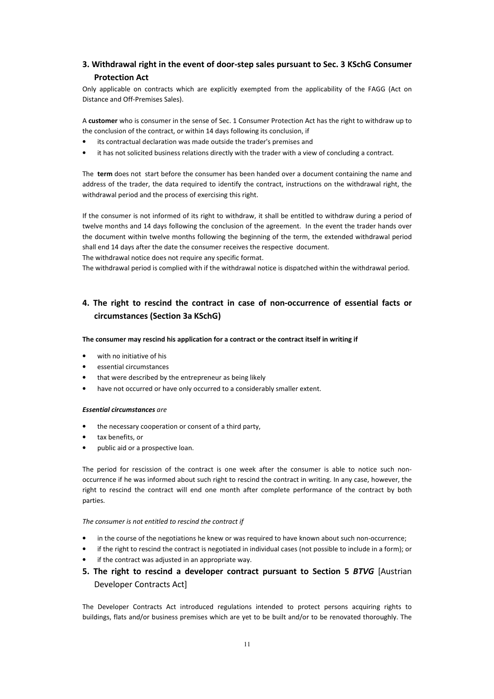## **3. Withdrawal right in the event of door-step sales pursuant to Sec. 3 KSchG Consumer Protection Act**

Only applicable on contracts which are explicitly exempted from the applicability of the FAGG (Act on Distance and Off-Premises Sales).

A **customer** who is consumer in the sense of Sec. 1 Consumer Protection Act has the right to withdraw up to the conclusion of the contract, or within 14 days following its conclusion, if

- its contractual declaration was made outside the trader's premises and
- it has not solicited business relations directly with the trader with a view of concluding a contract.

The **term** does not start before the consumer has been handed over a document containing the name and address of the trader, the data required to identify the contract, instructions on the withdrawal right, the withdrawal period and the process of exercising this right.

If the consumer is not informed of its right to withdraw, it shall be entitled to withdraw during a period of twelve months and 14 days following the conclusion of the agreement. In the event the trader hands over the document within twelve months following the beginning of the term, the extended withdrawal period shall end 14 days after the date the consumer receives the respective document.

The withdrawal notice does not require any specific format.

The withdrawal period is complied with if the withdrawal notice is dispatched within the withdrawal period.

## **4. The right to rescind the contract in case of non-occurrence of essential facts or circumstances (Section 3a KSchG)**

#### **The consumer may rescind his application for a contract or the contract itself in writing if**

- with no initiative of his
- essential circumstances
- that were described by the entrepreneur as being likely
- have not occurred or have only occurred to a considerably smaller extent.

#### *Essential circumstances are*

- the necessary cooperation or consent of a third party,
- tax benefits, or
- public aid or a prospective loan.

The period for rescission of the contract is one week after the consumer is able to notice such nonoccurrence if he was informed about such right to rescind the contract in writing. In any case, however, the right to rescind the contract will end one month after complete performance of the contract by both parties.

#### *The consumer is not entitled to rescind the contract if*

- in the course of the negotiations he knew or was required to have known about such non-occurrence;
- if the right to rescind the contract is negotiated in individual cases (not possible to include in a form); or
- if the contract was adjusted in an appropriate way.
- **5. The right to rescind a developer contract pursuant to Section 5** *BTVG* [Austrian Developer Contracts Act]

The Developer Contracts Act introduced regulations intended to protect persons acquiring rights to buildings, flats and/or business premises which are yet to be built and/or to be renovated thoroughly. The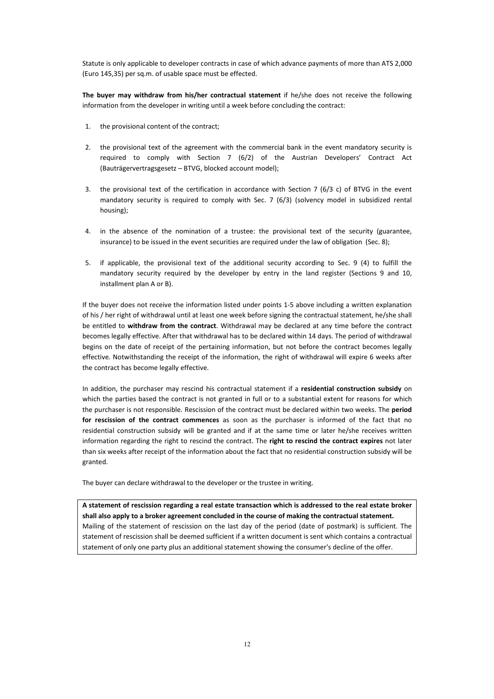Statute is only applicable to developer contracts in case of which advance payments of more than ATS 2,000 (Euro 145,35) per sq.m. of usable space must be effected.

**The buyer may withdraw from his/her contractual statement** if he/she does not receive the following information from the developer in writing until a week before concluding the contract:

- 1. the provisional content of the contract;
- 2. the provisional text of the agreement with the commercial bank in the event mandatory security is required to comply with Section 7 (6/2) of the Austrian Developers' Contract Act (Bauträgervertragsgesetz – BTVG, blocked account model);
- 3. the provisional text of the certification in accordance with Section 7 (6/3 c) of BTVG in the event mandatory security is required to comply with Sec. 7 (6/3) (solvency model in subsidized rental housing);
- 4. in the absence of the nomination of a trustee: the provisional text of the security (guarantee, insurance) to be issued in the event securities are required under the law of obligation (Sec. 8);
- 5. if applicable, the provisional text of the additional security according to Sec. 9 (4) to fulfill the mandatory security required by the developer by entry in the land register (Sections 9 and 10, installment plan A or B).

If the buyer does not receive the information listed under points 1-5 above including a written explanation of his / her right of withdrawal until at least one week before signing the contractual statement, he/she shall be entitled to **withdraw from the contract**. Withdrawal may be declared at any time before the contract becomes legally effective. After that withdrawal has to be declared within 14 days. The period of withdrawal begins on the date of receipt of the pertaining information, but not before the contract becomes legally effective. Notwithstanding the receipt of the information, the right of withdrawal will expire 6 weeks after the contract has become legally effective.

In addition, the purchaser may rescind his contractual statement if a **residential construction subsidy** on which the parties based the contract is not granted in full or to a substantial extent for reasons for which the purchaser is not responsible. Rescission of the contract must be declared within two weeks. The **period for rescission of the contract commences** as soon as the purchaser is informed of the fact that no residential construction subsidy will be granted and if at the same time or later he/she receives written information regarding the right to rescind the contract. The **right to rescind the contract expires** not later than six weeks after receipt of the information about the fact that no residential construction subsidy will be granted.

The buyer can declare withdrawal to the developer or the trustee in writing.

**A statement of rescission regarding a real estate transaction which is addressed to the real estate broker shall also apply to a broker agreement concluded in the course of making the contractual statement.**  Mailing of the statement of rescission on the last day of the period (date of postmark) is sufficient. The statement of rescission shall be deemed sufficient if a written document is sent which contains a contractual statement of only one party plus an additional statement showing the consumer's decline of the offer.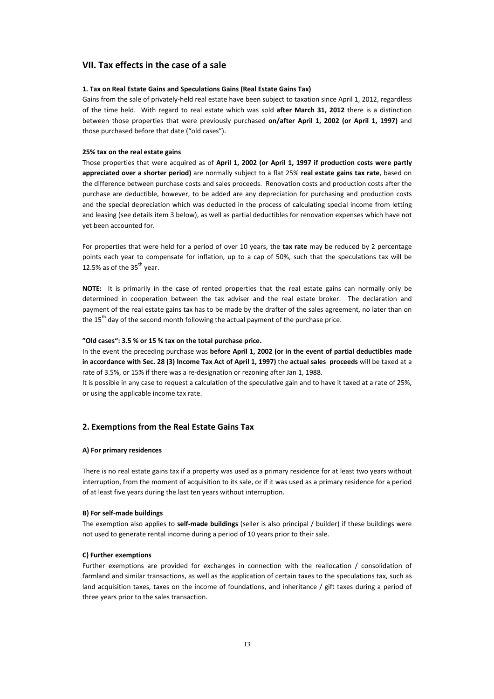### **VII. Tax effects in the case of a sale**

#### **1. Tax on Real Estate Gains and Speculations Gains (Real Estate Gains Tax)**

Gains from the sale of privately-held real estate have been subject to taxation since April 1, 2012, regardless of the time held. With regard to real estate which was sold **after March 31, 2012** there is a distinction between those properties that were previously purchased **on/after April 1, 2002 (or April 1, 1997)** and those purchased before that date ("old cases").

#### **25% tax on the real estate gains**

Those properties that were acquired as of **April 1, 2002 (or April 1, 1997 if production costs were partly appreciated over a shorter period)** are normally subject to a flat 25% **real estate gains tax rate**, based on the difference between purchase costs and sales proceeds. Renovation costs and production costs after the purchase are deductible, however, to be added are any depreciation for purchasing and production costs and the special depreciation which was deducted in the process of calculating special income from letting and leasing (see details item 3 below), as well as partial deductibles for renovation expenses which have not yet been accounted for.

For properties that were held for a period of over 10 years, the **tax rate** may be reduced by 2 percentage points each year to compensate for inflation, up to a cap of 50%, such that the speculations tax will be 12.5% as of the  $35<sup>th</sup>$  year.

**NOTE:** It is primarily in the case of rented properties that the real estate gains can normally only be determined in cooperation between the tax adviser and the real estate broker. The declaration and payment of the real estate gains tax has to be made by the drafter of the sales agreement, no later than on the  $15<sup>th</sup>$  day of the second month following the actual payment of the purchase price.

#### **"Old cases": 3.5 % or 15 % tax on the total purchase price.**

In the event the preceding purchase was **before April 1, 2002 (or in the event of partial deductibles made in accordance with Sec. 28 (3) Income Tax Act of April 1, 1997)** the **actual sales proceeds** will be taxed at a rate of 3.5%, or 15% if there was a re-designation or rezoning after Jan 1, 1988.

It is possible in any case to request a calculation of the speculative gain and to have it taxed at a rate of 25%, or using the applicable income tax rate.

### **2. Exemptions from the Real Estate Gains Tax**

#### **A) For primary residences**

There is no real estate gains tax if a property was used as a primary residence for at least two years without interruption, from the moment of acquisition to its sale, or if it was used as a primary residence for a period of at least five years during the last ten years without interruption.

#### **B) For self-made buildings**

The exemption also applies to **self-made buildings** (seller is also principal / builder) if these buildings were not used to generate rental income during a period of 10 years prior to their sale.

#### **C) Further exemptions**

Further exemptions are provided for exchanges in connection with the reallocation / consolidation of farmland and similar transactions, as well as the application of certain taxes to the speculations tax, such as land acquisition taxes, taxes on the income of foundations, and inheritance / gift taxes during a period of three years prior to the sales transaction.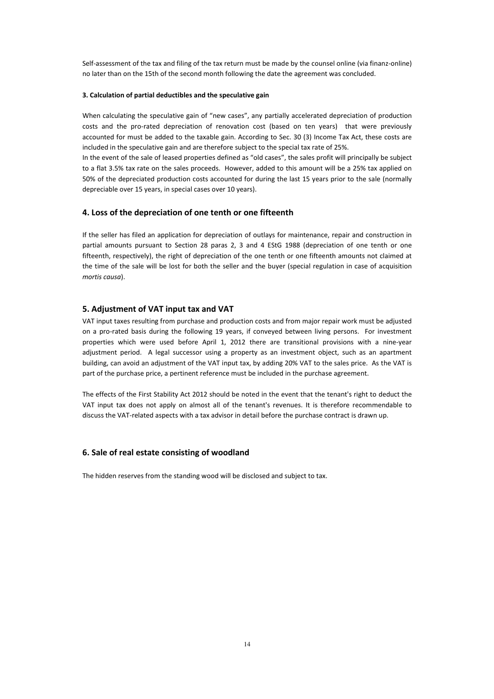Self-assessment of the tax and filing of the tax return must be made by the counsel online (via finanz-online) no later than on the 15th of the second month following the date the agreement was concluded.

#### **3. Calculation of partial deductibles and the speculative gain**

When calculating the speculative gain of "new cases", any partially accelerated depreciation of production costs and the pro-rated depreciation of renovation cost (based on ten years) that were previously accounted for must be added to the taxable gain. According to Sec. 30 (3) Income Tax Act, these costs are included in the speculative gain and are therefore subject to the special tax rate of 25%.

In the event of the sale of leased properties defined as "old cases", the sales profit will principally be subject to a flat 3.5% tax rate on the sales proceeds. However, added to this amount will be a 25% tax applied on 50% of the depreciated production costs accounted for during the last 15 years prior to the sale (normally depreciable over 15 years, in special cases over 10 years).

## **4. Loss of the depreciation of one tenth or one fifteenth**

If the seller has filed an application for depreciation of outlays for maintenance, repair and construction in partial amounts pursuant to Section 28 paras 2, 3 and 4 EStG 1988 (depreciation of one tenth or one fifteenth, respectively), the right of depreciation of the one tenth or one fifteenth amounts not claimed at the time of the sale will be lost for both the seller and the buyer (special regulation in case of acquisition *mortis causa*).

## **5. Adjustment of VAT input tax and VAT**

VAT input taxes resulting from purchase and production costs and from major repair work must be adjusted on a pro-rated basis during the following 19 years, if conveyed between living persons. For investment properties which were used before April 1, 2012 there are transitional provisions with a nine-year adjustment period. A legal successor using a property as an investment object, such as an apartment building, can avoid an adjustment of the VAT input tax, by adding 20% VAT to the sales price. As the VAT is part of the purchase price, a pertinent reference must be included in the purchase agreement.

The effects of the First Stability Act 2012 should be noted in the event that the tenant's right to deduct the VAT input tax does not apply on almost all of the tenant's revenues. It is therefore recommendable to discuss the VAT-related aspects with a tax advisor in detail before the purchase contract is drawn up.

## **6. Sale of real estate consisting of woodland**

The hidden reserves from the standing wood will be disclosed and subject to tax.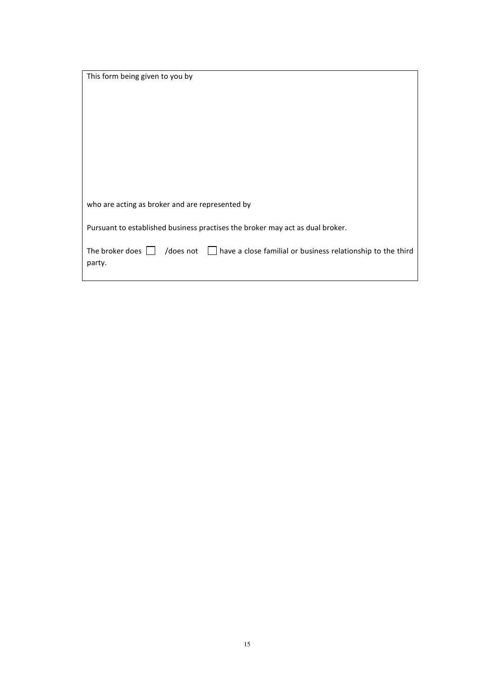| This form being given to you by                                                                                              |
|------------------------------------------------------------------------------------------------------------------------------|
|                                                                                                                              |
|                                                                                                                              |
|                                                                                                                              |
|                                                                                                                              |
|                                                                                                                              |
|                                                                                                                              |
|                                                                                                                              |
|                                                                                                                              |
|                                                                                                                              |
| who are acting as broker and are represented by                                                                              |
| Pursuant to established business practises the broker may act as dual broker.                                                |
|                                                                                                                              |
| /does not<br>The broker does $\Box$<br>have a close familial or business relationship to the third<br>$\mathbf{1}$<br>party. |
|                                                                                                                              |